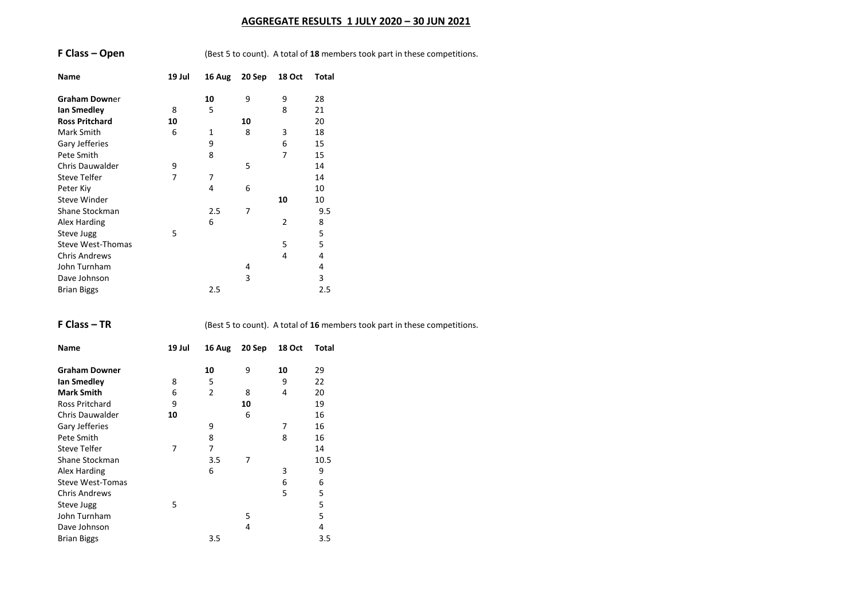# **AGGREGATE RESULTS 1 JULY 2020 – 30 JUN 2021**

|  | F Class – Open |  |  |
|--|----------------|--|--|
|--|----------------|--|--|

**(Best 5 to count). A total of 18 members took part in these competitions.** 

| Name                     | 19 Jul | 16 Aug | 20 Sep | <b>18 Oct</b>  | Total |
|--------------------------|--------|--------|--------|----------------|-------|
| <b>Graham Downer</b>     |        | 10     | 9      | 9              | 28    |
| lan Smedley              | 8      | 5      |        | 8              | 21    |
| <b>Ross Pritchard</b>    | 10     |        | 10     |                | 20    |
| Mark Smith               | 6      | 1      | 8      | 3              | 18    |
| Gary Jefferies           |        | 9      |        | 6              | 15    |
| Pete Smith               |        | 8      |        | 7              | 15    |
| <b>Chris Dauwalder</b>   | 9      |        | 5      |                | 14    |
| <b>Steve Telfer</b>      | 7      | 7      |        |                | 14    |
| Peter Kiy                |        | 4      | 6      |                | 10    |
| Steve Winder             |        |        |        | 10             | 10    |
| Shane Stockman           |        | 2.5    | 7      |                | 9.5   |
| Alex Harding             |        | 6      |        | $\overline{2}$ | 8     |
| Steve Jugg               | 5      |        |        |                | 5     |
| <b>Steve West-Thomas</b> |        |        |        | 5              | 5     |
| <b>Chris Andrews</b>     |        |        |        | 4              | 4     |
| John Turnham             |        |        | 4      |                | 4     |
| Dave Johnson             |        |        | 3      |                | 3     |
| <b>Brian Biggs</b>       |        | 2.5    |        |                | 2.5   |

**F Class – TR** (Best 5 to count). A total of 16 members took part in these competitions.

| Name                    | 19 Jul | 16 Aug         | 20 Sep | <b>18 Oct</b> | Total |
|-------------------------|--------|----------------|--------|---------------|-------|
| <b>Graham Downer</b>    |        | 10             | 9      | 10            | 29    |
| <b>Ian Smedley</b>      | 8      | 5              |        | 9             | 22    |
| <b>Mark Smith</b>       | 6      | $\overline{2}$ | 8      | 4             | 20    |
| Ross Pritchard          | 9      |                | 10     |               | 19    |
| <b>Chris Dauwalder</b>  | 10     |                | 6      |               | 16    |
| Gary Jefferies          |        | 9              |        | 7             | 16    |
| Pete Smith              |        | 8              |        | 8             | 16    |
| <b>Steve Telfer</b>     | 7      | 7              |        |               | 14    |
| Shane Stockman          |        | 3.5            | 7      |               | 10.5  |
| Alex Harding            |        | 6              |        | 3             | 9     |
| <b>Steve West-Tomas</b> |        |                |        | 6             | 6     |
| <b>Chris Andrews</b>    |        |                |        | 5             | 5     |
| Steve Jugg              | 5      |                |        |               | 5     |
| John Turnham            |        |                | 5      |               | 5     |
| Dave Johnson            |        |                | 4      |               | 4     |
| <b>Brian Biggs</b>      |        | 3.5            |        |               | 3.5   |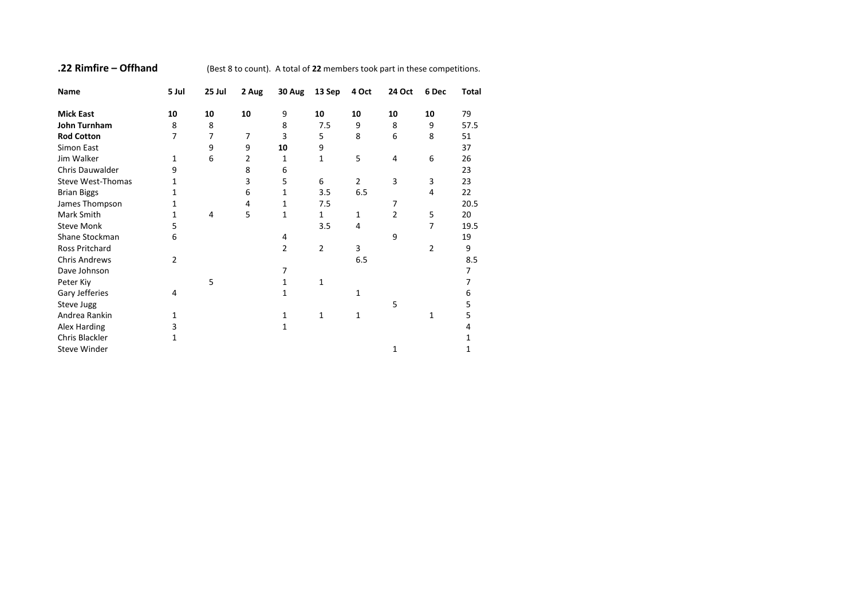**.22 Rimfire – Offhand** (Best 8 to count). A total of **22** members took part in these competitions.

| Name                     | 5 Jul          | 25 Jul | 2 Aug | 30 Aug | 13 Sep         | 4 Oct          | 24 Oct         | 6 Dec | Total |
|--------------------------|----------------|--------|-------|--------|----------------|----------------|----------------|-------|-------|
| <b>Mick East</b>         | 10             | 10     | 10    | 9      | 10             | 10             | 10             | 10    | 79    |
| John Turnham             | 8              | 8      |       | 8      | 7.5            | 9              | 8              | 9     | 57.5  |
| <b>Rod Cotton</b>        | 7              | 7      | 7     | 3      | 5              | 8              | 6              | 8     | 51    |
| Simon East               |                | 9      | 9     | 10     | 9              |                |                |       | 37    |
| Jim Walker               | 1              | 6      | 2     | 1      | 1              | 5              | 4              | 6     | 26    |
| <b>Chris Dauwalder</b>   | 9              |        | 8     | 6      |                |                |                |       | 23    |
| <b>Steve West-Thomas</b> | 1              |        | 3     | 5      | 6              | $\overline{2}$ | 3              | 3     | 23    |
| <b>Brian Biggs</b>       | 1              |        | 6     | 1      | 3.5            | 6.5            |                | 4     | 22    |
| James Thompson           | 1              |        | 4     | 1      | 7.5            |                | 7              |       | 20.5  |
| Mark Smith               | 1              | 4      | 5     | 1      | $\mathbf{1}$   | 1              | $\overline{2}$ | 5     | 20    |
| <b>Steve Monk</b>        | 5              |        |       |        | 3.5            | 4              |                | 7     | 19.5  |
| Shane Stockman           | 6              |        |       | 4      |                |                | 9              |       | 19    |
| Ross Pritchard           |                |        |       | 2      | $\overline{2}$ | 3              |                | 2     | 9     |
| <b>Chris Andrews</b>     | $\overline{2}$ |        |       |        |                | 6.5            |                |       | 8.5   |
| Dave Johnson             |                |        |       | 7      |                |                |                |       | 7     |
| Peter Kiy                |                | 5      |       | 1      | $\mathbf{1}$   |                |                |       | 7     |
| Gary Jefferies           | 4              |        |       | 1      |                | 1              |                |       | 6     |
| Steve Jugg               |                |        |       |        |                |                | 5              |       | 5     |
| Andrea Rankin            | 1              |        |       | 1      | $\mathbf{1}$   | $\mathbf 1$    |                | 1     | 5     |
| Alex Harding             | 3              |        |       | 1      |                |                |                |       | 4     |
| Chris Blackler           | 1              |        |       |        |                |                |                |       | 1     |
| <b>Steve Winder</b>      |                |        |       |        |                |                | 1              |       | 1     |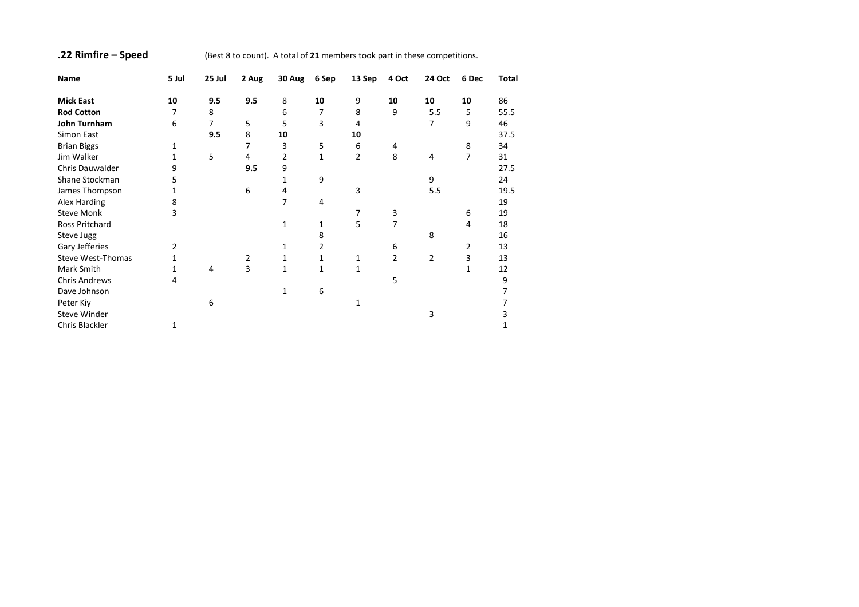# **.22 Rimfire – Speed** (Best 8 to count). A total of **21** members took part in these competitions.

| Name                 | 5 Jul | 25 Jul | 2 Aug | 30 Aug | 6 Sep | 13 Sep         | 4 Oct | 24 Oct | 6 Dec | Total |
|----------------------|-------|--------|-------|--------|-------|----------------|-------|--------|-------|-------|
| <b>Mick East</b>     | 10    | 9.5    | 9.5   | 8      | 10    | 9              | 10    | 10     | 10    | 86    |
| <b>Rod Cotton</b>    | 7     | 8      |       | 6      | 7     | 8              | 9     | 5.5    | 5     | 55.5  |
| John Turnham         | 6     | 7      | 5     | 5      | 3     | 4              |       | 7      | 9     | 46    |
| Simon East           |       | 9.5    | 8     | 10     |       | 10             |       |        |       | 37.5  |
| <b>Brian Biggs</b>   | 1     |        | 7     | 3      | 5     | 6              | 4     |        | 8     | 34    |
| Jim Walker           | 1     | 5      | 4     | 2      | 1     | $\overline{2}$ | 8     | 4      | 7     | 31    |
| Chris Dauwalder      | 9     |        | 9.5   | 9      |       |                |       |        |       | 27.5  |
| Shane Stockman       | 5     |        |       | 1      | 9     |                |       | 9      |       | 24    |
| James Thompson       | 1     |        | 6     | 4      |       | 3              |       | 5.5    |       | 19.5  |
| Alex Harding         | 8     |        |       | 7      | 4     |                |       |        |       | 19    |
| <b>Steve Monk</b>    | 3     |        |       |        |       | 7              | 3     |        | 6     | 19    |
| Ross Pritchard       |       |        |       | 1      | 1     | 5              | 7     |        | 4     | 18    |
| Steve Jugg           |       |        |       |        | 8     |                |       | 8      |       | 16    |
| Gary Jefferies       | 2     |        |       | 1      | 2     |                | 6     |        | 2     | 13    |
| Steve West-Thomas    | 1     |        | 2     | 1      | 1     | 1              | 2     | 2      | 3     | 13    |
| Mark Smith           | 1     | 4      | 3     | 1      | 1     | 1              |       |        | 1     | 12    |
| <b>Chris Andrews</b> | 4     |        |       |        |       |                | 5     |        |       | 9     |
| Dave Johnson         |       |        |       | 1      | 6     |                |       |        |       |       |
| Peter Kiy            |       | 6      |       |        |       | 1              |       |        |       |       |
| <b>Steve Winder</b>  |       |        |       |        |       |                |       | 3      |       | 3     |
| Chris Blackler       | 1     |        |       |        |       |                |       |        |       | 1     |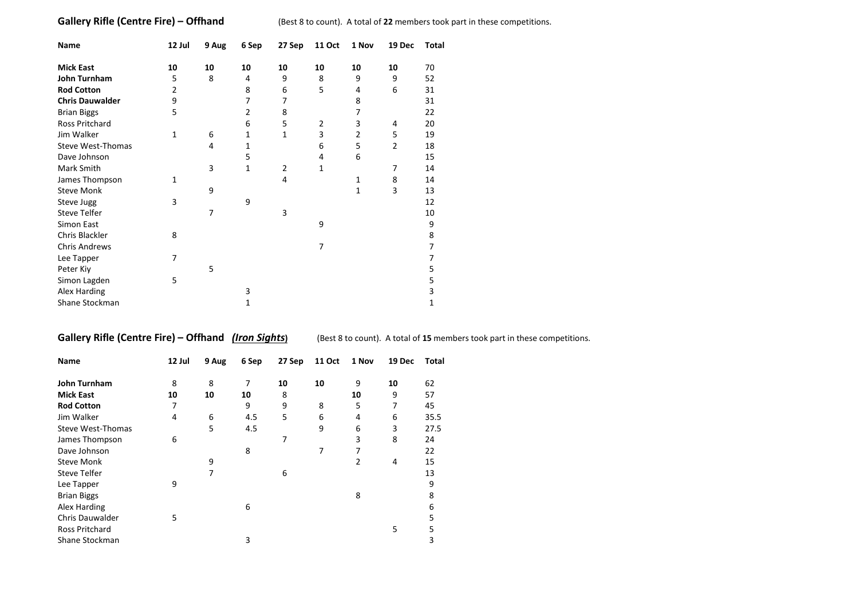**Gallery Rifle (Centre Fire) – Offhand** (Best 8 to count). A total of 22 members took part in these competitions.

| Name                   | 12 Jul | 9 Aug | 6 Sep          | 27 Sep         | <b>11 Oct</b>  | 1 Nov          | 19 Dec         | Total |
|------------------------|--------|-------|----------------|----------------|----------------|----------------|----------------|-------|
| <b>Mick East</b>       | 10     | 10    | 10             | 10             | 10             | 10             | 10             | 70    |
| John Turnham           | 5      | 8     | 4              | 9              | 8              | 9              | 9              | 52    |
| <b>Rod Cotton</b>      | 2      |       | 8              | 6              | 5              | 4              | 6              | 31    |
| <b>Chris Dauwalder</b> | 9      |       | 7              | 7              |                | 8              |                | 31    |
| <b>Brian Biggs</b>     | 5      |       | $\overline{2}$ | 8              |                | 7              |                | 22    |
| Ross Pritchard         |        |       | 6              | 5              | $\overline{2}$ | 3              | 4              | 20    |
| Jim Walker             | 1      | 6     | 1              | 1              | 3              | $\overline{2}$ | 5              | 19    |
| Steve West-Thomas      |        | 4     | 1              |                | 6              | 5              | $\overline{2}$ | 18    |
| Dave Johnson           |        |       | 5              |                | 4              | 6              |                | 15    |
| Mark Smith             |        | 3     | $\mathbf{1}$   | $\overline{2}$ | 1              |                | 7              | 14    |
| James Thompson         | 1      |       |                | 4              |                | 1              | 8              | 14    |
| <b>Steve Monk</b>      |        | 9     |                |                |                | 1              | 3              | 13    |
| Steve Jugg             | 3      |       | 9              |                |                |                |                | 12    |
| <b>Steve Telfer</b>    |        | 7     |                | 3              |                |                |                | 10    |
| Simon East             |        |       |                |                | 9              |                |                | 9     |
| Chris Blackler         | 8      |       |                |                |                |                |                | 8     |
| <b>Chris Andrews</b>   |        |       |                |                | 7              |                |                | 7     |
| Lee Tapper             | 7      |       |                |                |                |                |                | 7     |
| Peter Kiy              |        | 5     |                |                |                |                |                | 5     |
| Simon Lagden           | 5      |       |                |                |                |                |                | 5     |
| Alex Harding           |        |       | 3              |                |                |                |                | 3     |
| Shane Stockman         |        |       | 1              |                |                |                |                | 1     |

**Gallery Rifle (Centre Fire) – Offhand** *(Iron Sights)* (Best 8 to count). A total of 15 members took part in these competitions.

| Name                   | 12 Jul | 9 Aug | 6 Sep | 27 Sep | <b>11 Oct</b> | 1 Nov          | 19 Dec | Total |
|------------------------|--------|-------|-------|--------|---------------|----------------|--------|-------|
| John Turnham           | 8      | 8     | 7     | 10     | 10            | 9              | 10     | 62    |
| <b>Mick East</b>       | 10     | 10    | 10    | 8      |               | 10             | 9      | 57    |
| <b>Rod Cotton</b>      | 7      |       | 9     | 9      | 8             | 5              | 7      | 45    |
| Jim Walker             | 4      | 6     | 4.5   | 5      | 6             | 4              | 6      | 35.5  |
| Steve West-Thomas      |        | 5     | 4.5   |        | 9             | 6              | 3      | 27.5  |
| James Thompson         | 6      |       |       | 7      |               | 3              | 8      | 24    |
| Dave Johnson           |        |       | 8     |        | 7             | 7              |        | 22    |
| <b>Steve Monk</b>      |        | 9     |       |        |               | $\overline{2}$ | 4      | 15    |
| Steve Telfer           |        | 7     |       | 6      |               |                |        | 13    |
| Lee Tapper             | 9      |       |       |        |               |                |        | 9     |
| <b>Brian Biggs</b>     |        |       |       |        |               | 8              |        | 8     |
| Alex Harding           |        |       | 6     |        |               |                |        | 6     |
| <b>Chris Dauwalder</b> | 5      |       |       |        |               |                |        | 5     |
| <b>Ross Pritchard</b>  |        |       |       |        |               |                | 5      | 5     |
| Shane Stockman         |        |       | 3     |        |               |                |        | 3     |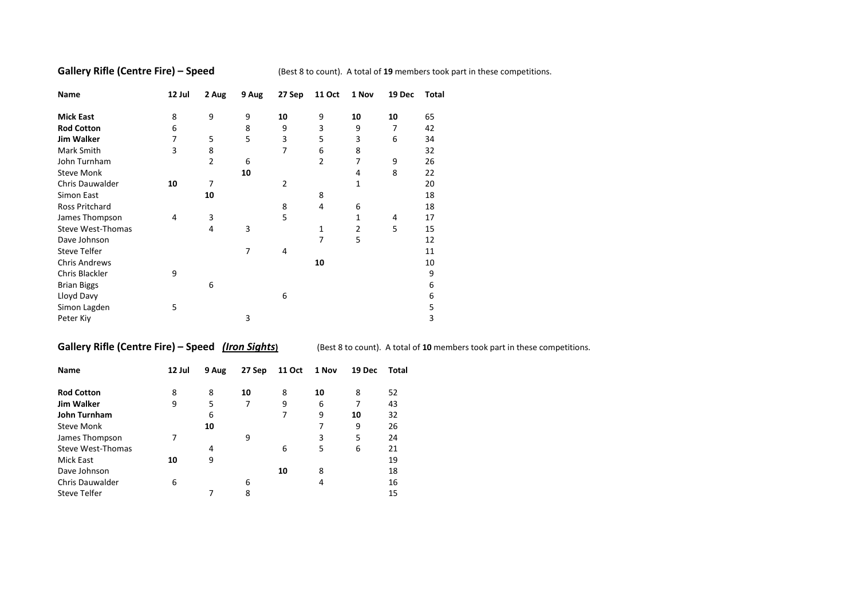**Gallery Rifle (Centre Fire) – Speed** (Best 8 to count). A total of 19 members took part in these competitions.

| Name                 | 12 Jul | 2 Aug          | 9 Aug | 27 Sep | <b>11 Oct</b> | 1 Nov | 19 Dec | Total |
|----------------------|--------|----------------|-------|--------|---------------|-------|--------|-------|
| <b>Mick East</b>     | 8      | 9              | 9     | 10     | 9             | 10    | 10     | 65    |
| <b>Rod Cotton</b>    | 6      |                | 8     | 9      | 3             | 9     | 7      | 42    |
| <b>Jim Walker</b>    | 7      | 5              | 5     | 3      | 5             | 3     | 6      | 34    |
| Mark Smith           | 3      | 8              |       | 7      | 6             | 8     |        | 32    |
| John Turnham         |        | $\overline{2}$ | 6     |        | 2             | 7     | 9      | 26    |
| <b>Steve Monk</b>    |        |                | 10    |        |               | 4     | 8      | 22    |
| Chris Dauwalder      | 10     | 7              |       | 2      |               | 1     |        | 20    |
| Simon East           |        | 10             |       |        | 8             |       |        | 18    |
| Ross Pritchard       |        |                |       | 8      | 4             | 6     |        | 18    |
| James Thompson       | 4      | 3              |       | 5      |               | 1     | 4      | 17    |
| Steve West-Thomas    |        | 4              | 3     |        | 1             | 2     | 5      | 15    |
| Dave Johnson         |        |                |       |        | 7             | 5     |        | 12    |
| <b>Steve Telfer</b>  |        |                | 7     | 4      |               |       |        | 11    |
| <b>Chris Andrews</b> |        |                |       |        | 10            |       |        | 10    |
| Chris Blackler       | 9      |                |       |        |               |       |        | 9     |
| <b>Brian Biggs</b>   |        | 6              |       |        |               |       |        | 6     |
| Lloyd Davy           |        |                |       | 6      |               |       |        | 6     |
| Simon Lagden         | 5      |                |       |        |               |       |        | 5     |
| Peter Kiy            |        |                | 3     |        |               |       |        | 3     |

**Gallery Rifle (Centre Fire) – Speed** *(Iron Sights***) (Best 8 to count). A total of 10 members took part in these competitions.** 

| <b>Name</b>            | 12 Jul | 9 Aug | 27 Sep | 11 Oct | 1 Nov | 19 Dec | Total |
|------------------------|--------|-------|--------|--------|-------|--------|-------|
| <b>Rod Cotton</b>      | 8      | 8     | 10     | 8      | 10    | 8      | 52    |
| <b>Jim Walker</b>      | 9      | 5     | 7      | 9      | 6     | 7      | 43    |
| <b>John Turnham</b>    |        | 6     |        | 7      | 9     | 10     | 32    |
| <b>Steve Monk</b>      |        | 10    |        |        | 7     | 9      | 26    |
| James Thompson         | 7      |       | 9      |        | 3     | 5      | 24    |
| Steve West-Thomas      |        | 4     |        | 6      | 5     | 6      | 21    |
| Mick East              | 10     | 9     |        |        |       |        | 19    |
| Dave Johnson           |        |       |        | 10     | 8     |        | 18    |
| <b>Chris Dauwalder</b> | 6      |       | 6      |        | 4     |        | 16    |
| Steve Telfer           |        |       | 8      |        |       |        | 15    |